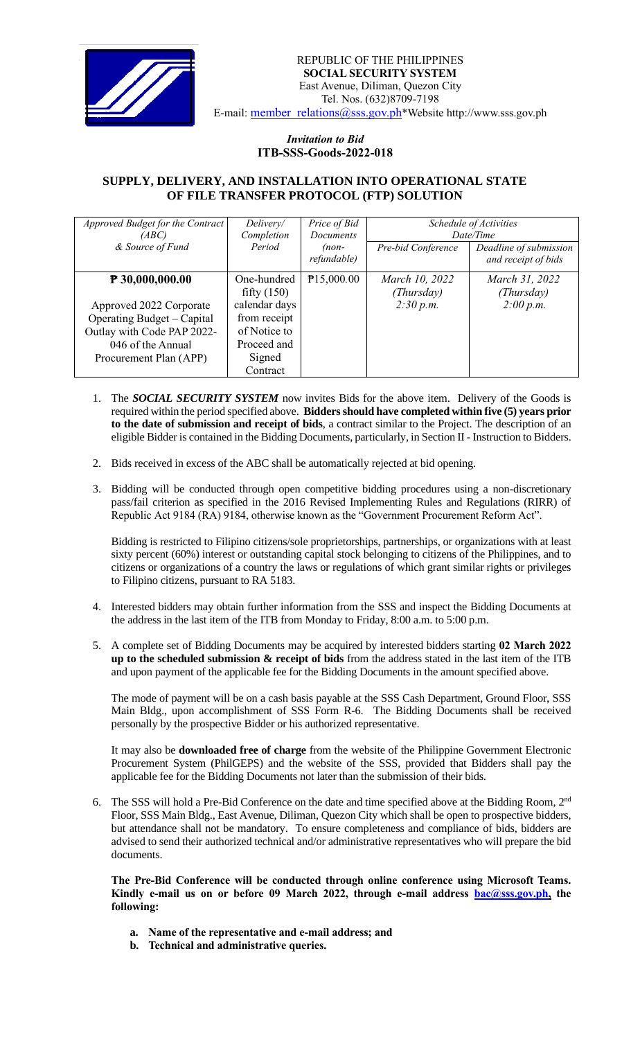

## *Invitation to Bid*  **ITB-SSS-Goods-2022-018**

## **SUPPLY, DELIVERY, AND INSTALLATION INTO OPERATIONAL STATE OF FILE TRANSFER PROTOCOL (FTP) SOLUTION**

| Approved Budget for the Contract<br>(ABC)<br>& Source of Fund                                                                                           | Delivery/<br>Completion<br>Period                                                                                  | Price of Bid<br>Documents<br>$(non-$<br>refundable) | Schedule of Activities<br>Date/Time<br>Pre-bid Conference<br>Deadline of submission<br>and receipt of bids |                                           |
|---------------------------------------------------------------------------------------------------------------------------------------------------------|--------------------------------------------------------------------------------------------------------------------|-----------------------------------------------------|------------------------------------------------------------------------------------------------------------|-------------------------------------------|
| $P$ 30,000,000.00<br>Approved 2022 Corporate<br>Operating Budget – Capital<br>Outlay with Code PAP 2022-<br>046 of the Annual<br>Procurement Plan (APP) | One-hundred<br>fifty $(150)$<br>calendar days<br>from receipt<br>of Notice to<br>Proceed and<br>Signed<br>Contract | P15,000.00                                          | March 10, 2022<br>(Thursday)<br>2:30 p.m.                                                                  | March 31, 2022<br>(Thursday)<br>2:00 p.m. |

- 1. The *SOCIAL SECURITY SYSTEM* now invites Bids for the above item. Delivery of the Goods is required within the period specified above. **Bidders should have completed within five (5) years prior to the date of submission and receipt of bids**, a contract similar to the Project. The description of an eligible Bidder is contained in the Bidding Documents, particularly, in Section II - Instruction to Bidders.
- 2. Bids received in excess of the ABC shall be automatically rejected at bid opening.
- 3. Bidding will be conducted through open competitive bidding procedures using a non-discretionary pass/fail criterion as specified in the 2016 Revised Implementing Rules and Regulations (RIRR) of Republic Act 9184 (RA) 9184, otherwise known as the "Government Procurement Reform Act".

Bidding is restricted to Filipino citizens/sole proprietorships, partnerships, or organizations with at least sixty percent (60%) interest or outstanding capital stock belonging to citizens of the Philippines, and to citizens or organizations of a country the laws or regulations of which grant similar rights or privileges to Filipino citizens, pursuant to RA 5183.

- 4. Interested bidders may obtain further information from the SSS and inspect the Bidding Documents at the address in the last item of the ITB from Monday to Friday, 8:00 a.m. to 5:00 p.m.
- 5. A complete set of Bidding Documents may be acquired by interested bidders starting **02 March 2022 up to the scheduled submission & receipt of bids** from the address stated in the last item of the ITB and upon payment of the applicable fee for the Bidding Documents in the amount specified above.

The mode of payment will be on a cash basis payable at the SSS Cash Department, Ground Floor, SSS Main Bldg., upon accomplishment of SSS Form R-6. The Bidding Documents shall be received personally by the prospective Bidder or his authorized representative.

It may also be **downloaded free of charge** from the website of the Philippine Government Electronic Procurement System (PhilGEPS) and the website of the SSS*,* provided that Bidders shall pay the applicable fee for the Bidding Documents not later than the submission of their bids.

6. The SSS will hold a Pre-Bid Conference on the date and time specified above at the Bidding Room, 2<sup>nd</sup> Floor, SSS Main Bldg., East Avenue, Diliman, Quezon City which shall be open to prospective bidders, but attendance shall not be mandatory. To ensure completeness and compliance of bids, bidders are advised to send their authorized technical and/or administrative representatives who will prepare the bid documents.

**The Pre-Bid Conference will be conducted through online conference using Microsoft Teams.**  Kindly e-mail us on or before 09 March 2022, through e-mail address **bac@sss.gov.ph**, the **following:**

- **a. Name of the representative and e-mail address; and**
- **b. Technical and administrative queries.**